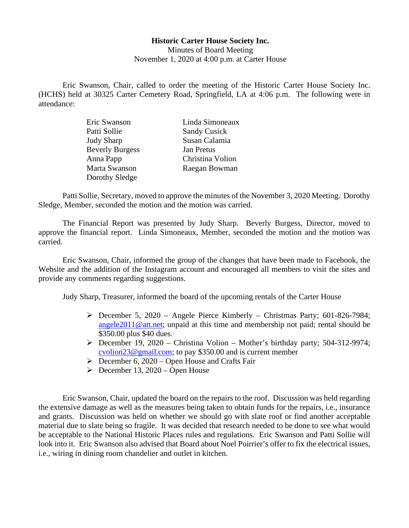## **Historic Carter House Society Inc.**

Minutes of Board Meeting November 1, 2020 at 4:00 p.m. at Carter House

Eric Swanson, Chair, called to order the meeting of the Historic Carter House Society Inc. (HCHS) held at 30325 Carter Cemetery Road, Springfield, LA at 4:06 p.m. The following were in attendance:

| Eric Swanson           | Linda Simoneaux     |
|------------------------|---------------------|
| Patti Sollie           | <b>Sandy Cusick</b> |
| <b>Judy Sharp</b>      | Susan Calamia       |
| <b>Beverly Burgess</b> | <b>Jan Pretus</b>   |
| Anna Papp              | Christina Volion    |
| Marta Swanson          | Raegan Bowman       |
| Dorothy Sledge         |                     |

Patti Sollie, Secretary, moved to approve the minutes of the November 3, 2020 Meeting. Dorothy Sledge, Member, seconded the motion and the motion was carried.

The Financial Report was presented by Judy Sharp. Beverly Burgess, Director, moved to approve the financial report. Linda Simoneaux, Member, seconded the motion and the motion was carried.

Eric Swanson, Chair, informed the group of the changes that have been made to Facebook, the Website and the addition of the Instagram account and encouraged all members to visit the sites and provide any comments regarding suggestions.

Judy Sharp, Treasurer, informed the board of the upcoming rentals of the Carter House

- December 5, 2020 Angele Pierce Kimberly Christmas Party; 601-826-7984; [angele2011@att.net;](mailto:angele2011@att.net) unpaid at this time and membership not paid; rental should be \$350.00 plus \$40 dues.
- $\triangleright$  December 19, 2020 Christina Volion Mother's birthday party; 504-312-9974; [cvolion23@gmail.com;](mailto:cvolion23@gmail.com) to pay \$350.00 and is current member
- $\triangleright$  December 6, 2020 Open House and Crafts Fair
- $\triangleright$  December 13, 2020 Open House

Eric Swanson, Chair, updated the board on the repairs to the roof. Discussion was held regarding the extensive damage as well as the measures being taken to obtain funds for the repairs, i.e., insurance and grants. Discussion was held on whether we should go with slate roof or find another acceptable material due to slate being so fragile. It was decided that research needed to be done to see what would be acceptable to the National Historic Places rules and regulations. Eric Swanson and Patti Sollie will look into it. Eric Swanson also advised that Board about Noel Poirrier's offer to fix the electrical issues, i.e., wiring in dining room chandelier and outlet in kitchen.